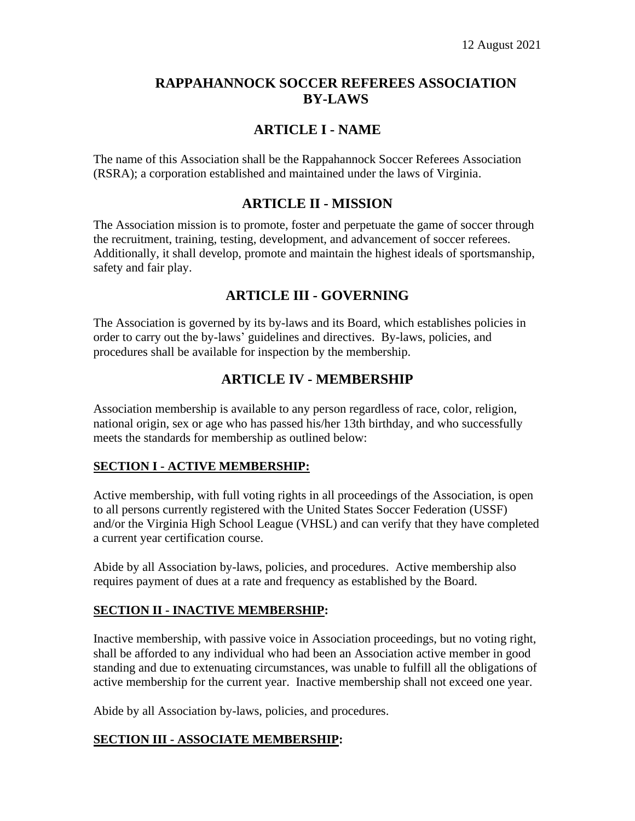## **RAPPAHANNOCK SOCCER REFEREES ASSOCIATION BY-LAWS**

# **ARTICLE I - NAME**

The name of this Association shall be the Rappahannock Soccer Referees Association (RSRA); a corporation established and maintained under the laws of Virginia.

## **ARTICLE II - MISSION**

The Association mission is to promote, foster and perpetuate the game of soccer through the recruitment, training, testing, development, and advancement of soccer referees. Additionally, it shall develop, promote and maintain the highest ideals of sportsmanship, safety and fair play.

# **ARTICLE III - GOVERNING**

The Association is governed by its by-laws and its Board, which establishes policies in order to carry out the by-laws' guidelines and directives. By-laws, policies, and procedures shall be available for inspection by the membership.

## **ARTICLE IV - MEMBERSHIP**

Association membership is available to any person regardless of race, color, religion, national origin, sex or age who has passed his/her 13th birthday, and who successfully meets the standards for membership as outlined below:

### **SECTION I - ACTIVE MEMBERSHIP:**

Active membership, with full voting rights in all proceedings of the Association, is open to all persons currently registered with the United States Soccer Federation (USSF) and/or the Virginia High School League (VHSL) and can verify that they have completed a current year certification course.

Abide by all Association by-laws, policies, and procedures. Active membership also requires payment of dues at a rate and frequency as established by the Board.

### **SECTION II - INACTIVE MEMBERSHIP:**

Inactive membership, with passive voice in Association proceedings, but no voting right, shall be afforded to any individual who had been an Association active member in good standing and due to extenuating circumstances, was unable to fulfill all the obligations of active membership for the current year. Inactive membership shall not exceed one year.

Abide by all Association by-laws, policies, and procedures.

### **SECTION III - ASSOCIATE MEMBERSHIP:**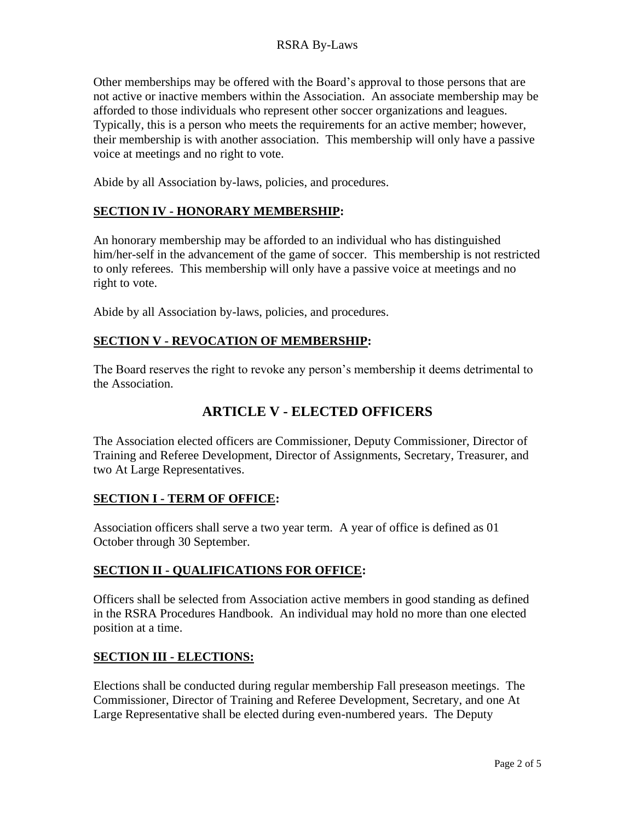Other memberships may be offered with the Board's approval to those persons that are not active or inactive members within the Association. An associate membership may be afforded to those individuals who represent other soccer organizations and leagues. Typically, this is a person who meets the requirements for an active member; however, their membership is with another association. This membership will only have a passive voice at meetings and no right to vote.

Abide by all Association by-laws, policies, and procedures.

### **SECTION IV - HONORARY MEMBERSHIP:**

An honorary membership may be afforded to an individual who has distinguished him/her-self in the advancement of the game of soccer. This membership is not restricted to only referees. This membership will only have a passive voice at meetings and no right to vote.

Abide by all Association by-laws, policies, and procedures.

#### **SECTION V - REVOCATION OF MEMBERSHIP:**

The Board reserves the right to revoke any person's membership it deems detrimental to the Association.

## **ARTICLE V - ELECTED OFFICERS**

The Association elected officers are Commissioner, Deputy Commissioner, Director of Training and Referee Development, Director of Assignments, Secretary, Treasurer, and two At Large Representatives.

#### **SECTION I - TERM OF OFFICE:**

Association officers shall serve a two year term. A year of office is defined as 01 October through 30 September.

### **SECTION II - QUALIFICATIONS FOR OFFICE:**

Officers shall be selected from Association active members in good standing as defined in the RSRA Procedures Handbook. An individual may hold no more than one elected position at a time.

### **SECTION III - ELECTIONS:**

Elections shall be conducted during regular membership Fall preseason meetings. The Commissioner, Director of Training and Referee Development, Secretary, and one At Large Representative shall be elected during even-numbered years. The Deputy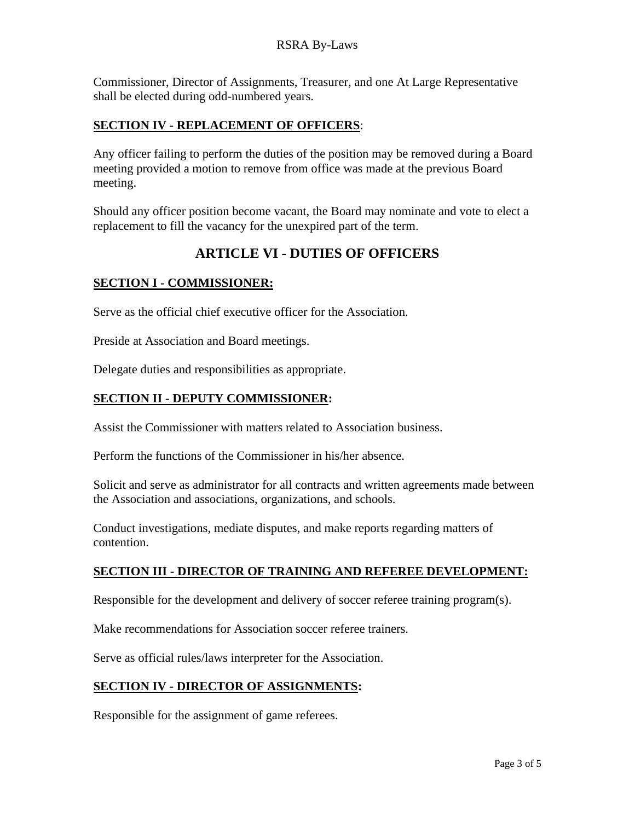Commissioner, Director of Assignments, Treasurer, and one At Large Representative shall be elected during odd-numbered years.

#### **SECTION IV - REPLACEMENT OF OFFICERS**:

Any officer failing to perform the duties of the position may be removed during a Board meeting provided a motion to remove from office was made at the previous Board meeting.

Should any officer position become vacant, the Board may nominate and vote to elect a replacement to fill the vacancy for the unexpired part of the term.

# **ARTICLE VI - DUTIES OF OFFICERS**

#### **SECTION I - COMMISSIONER:**

Serve as the official chief executive officer for the Association.

Preside at Association and Board meetings.

Delegate duties and responsibilities as appropriate.

#### **SECTION II - DEPUTY COMMISSIONER:**

Assist the Commissioner with matters related to Association business.

Perform the functions of the Commissioner in his/her absence.

Solicit and serve as administrator for all contracts and written agreements made between the Association and associations, organizations, and schools.

Conduct investigations, mediate disputes, and make reports regarding matters of contention.

#### **SECTION III - DIRECTOR OF TRAINING AND REFEREE DEVELOPMENT:**

Responsible for the development and delivery of soccer referee training program(s).

Make recommendations for Association soccer referee trainers.

Serve as official rules/laws interpreter for the Association.

### **SECTION IV - DIRECTOR OF ASSIGNMENTS:**

Responsible for the assignment of game referees.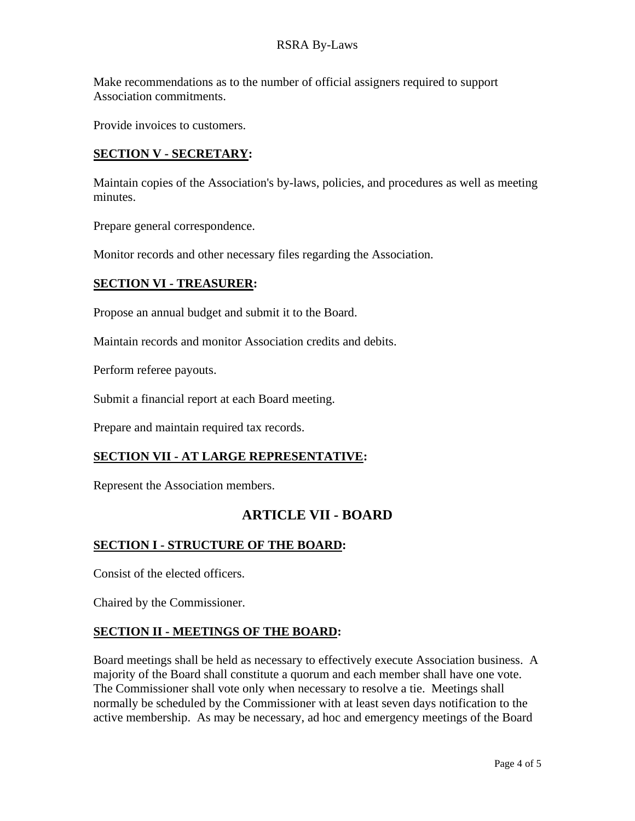Make recommendations as to the number of official assigners required to support Association commitments.

Provide invoices to customers.

#### **SECTION V - SECRETARY:**

Maintain copies of the Association's by-laws, policies, and procedures as well as meeting minutes.

Prepare general correspondence.

Monitor records and other necessary files regarding the Association.

#### **SECTION VI - TREASURER:**

Propose an annual budget and submit it to the Board.

Maintain records and monitor Association credits and debits.

Perform referee payouts.

Submit a financial report at each Board meeting.

Prepare and maintain required tax records.

#### **SECTION VII - AT LARGE REPRESENTATIVE:**

Represent the Association members.

## **ARTICLE VII - BOARD**

#### **SECTION I - STRUCTURE OF THE BOARD:**

Consist of the elected officers.

Chaired by the Commissioner.

#### **SECTION II - MEETINGS OF THE BOARD:**

Board meetings shall be held as necessary to effectively execute Association business. A majority of the Board shall constitute a quorum and each member shall have one vote. The Commissioner shall vote only when necessary to resolve a tie. Meetings shall normally be scheduled by the Commissioner with at least seven days notification to the active membership. As may be necessary, ad hoc and emergency meetings of the Board